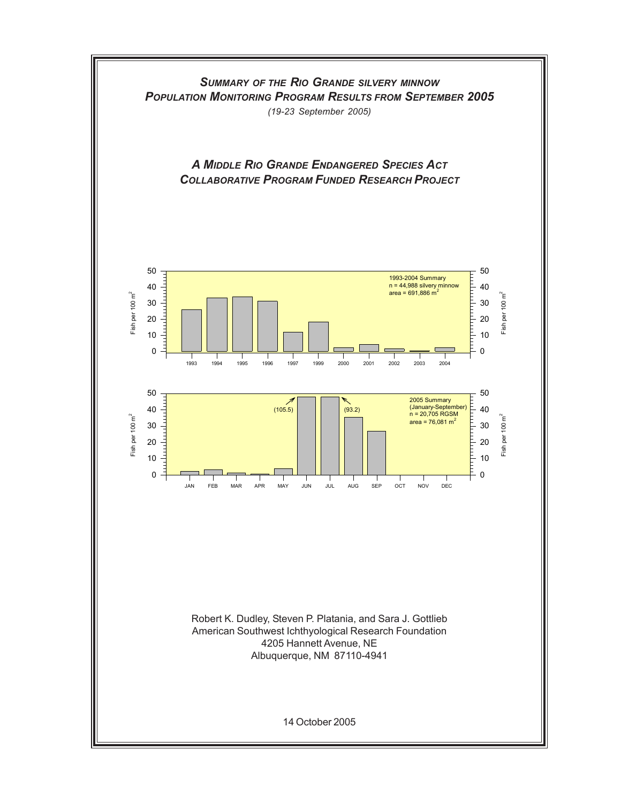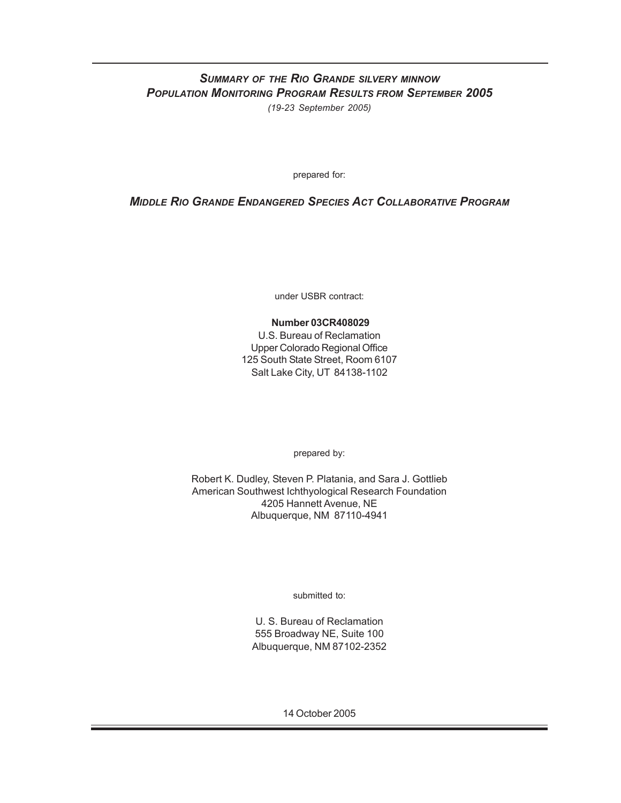### *SUMMARY OF THE RIO GRANDE SILVERY MINNOW POPULATION MONITORING PROGRAM RESULTS FROM SEPTEMBER 2005 (19-23 September 2005)*

prepared for:

### *MIDDLE RIO GRANDE ENDANGERED SPECIES ACT COLLABORATIVE PROGRAM*

under USBR contract:

### **Number 03CR408029**

U.S. Bureau of Reclamation Upper Colorado Regional Office 125 South State Street, Room 6107 Salt Lake City, UT 84138-1102

prepared by:

Robert K. Dudley, Steven P. Platania, and Sara J. Gottlieb American Southwest Ichthyological Research Foundation 4205 Hannett Avenue, NE Albuquerque, NM 87110-4941

submitted to:

U. S. Bureau of Reclamation 555 Broadway NE, Suite 100 Albuquerque, NM 87102-2352

14 October 2005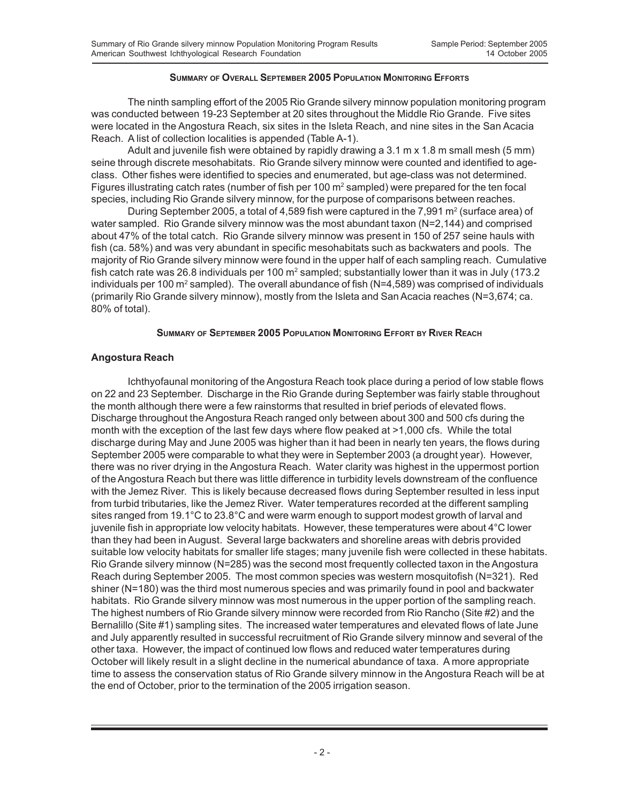#### **SUMMARY OF OVERALL SEPTEMBER 2005 POPULATION MONITORING EFFORTS**

The ninth sampling effort of the 2005 Rio Grande silvery minnow population monitoring program was conducted between 19-23 September at 20 sites throughout the Middle Rio Grande. Five sites were located in the Angostura Reach, six sites in the Isleta Reach, and nine sites in the San Acacia Reach. A list of collection localities is appended (Table A-1).

Adult and juvenile fish were obtained by rapidly drawing a 3.1 m x 1.8 m small mesh (5 mm) seine through discrete mesohabitats. Rio Grande silvery minnow were counted and identified to ageclass. Other fishes were identified to species and enumerated, but age-class was not determined. Figures illustrating catch rates (number of fish per 100 m<sup>2</sup> sampled) were prepared for the ten focal species, including Rio Grande silvery minnow, for the purpose of comparisons between reaches.

During September 2005, a total of 4,589 fish were captured in the 7,991 m<sup>2</sup> (surface area) of water sampled. Rio Grande silvery minnow was the most abundant taxon (N=2,144) and comprised about 47% of the total catch. Rio Grande silvery minnow was present in 150 of 257 seine hauls with fish (ca. 58%) and was very abundant in specific mesohabitats such as backwaters and pools. The majority of Rio Grande silvery minnow were found in the upper half of each sampling reach. Cumulative fish catch rate was 26.8 individuals per 100 m² sampled; substantially lower than it was in July (173.2  $\,$ individuals per 100 m<sup>2</sup> sampled). The overall abundance of fish (N=4,589) was comprised of individuals (primarily Rio Grande silvery minnow), mostly from the Isleta and San Acacia reaches (N=3,674; ca. 80% of total).

### **SUMMARY OF SEPTEMBER 2005 POPULATION MONITORING EFFORT BY RIVER REACH**

### **Angostura Reach**

Ichthyofaunal monitoring of the Angostura Reach took place during a period of low stable flows on 22 and 23 September. Discharge in the Rio Grande during September was fairly stable throughout the month although there were a few rainstorms that resulted in brief periods of elevated flows. Discharge throughout the Angostura Reach ranged only between about 300 and 500 cfs during the month with the exception of the last few days where flow peaked at >1,000 cfs. While the total discharge during May and June 2005 was higher than it had been in nearly ten years, the flows during September 2005 were comparable to what they were in September 2003 (a drought year). However, there was no river drying in the Angostura Reach. Water clarity was highest in the uppermost portion of the Angostura Reach but there was little difference in turbidity levels downstream of the confluence with the Jemez River. This is likely because decreased flows during September resulted in less input from turbid tributaries, like the Jemez River. Water temperatures recorded at the different sampling sites ranged from 19.1°C to 23.8°C and were warm enough to support modest growth of larval and juvenile fish in appropriate low velocity habitats. However, these temperatures were about 4°C lower than they had been in August. Several large backwaters and shoreline areas with debris provided suitable low velocity habitats for smaller life stages; many juvenile fish were collected in these habitats. Rio Grande silvery minnow (N=285) was the second most frequently collected taxon in the Angostura Reach during September 2005. The most common species was western mosquitofish (N=321). Red shiner (N=180) was the third most numerous species and was primarily found in pool and backwater habitats. Rio Grande silvery minnow was most numerous in the upper portion of the sampling reach. The highest numbers of Rio Grande silvery minnow were recorded from Rio Rancho (Site #2) and the Bernalillo (Site #1) sampling sites. The increased water temperatures and elevated flows of late June and July apparently resulted in successful recruitment of Rio Grande silvery minnow and several of the other taxa. However, the impact of continued low flows and reduced water temperatures during October will likely result in a slight decline in the numerical abundance of taxa. A more appropriate time to assess the conservation status of Rio Grande silvery minnow in the Angostura Reach will be at the end of October, prior to the termination of the 2005 irrigation season.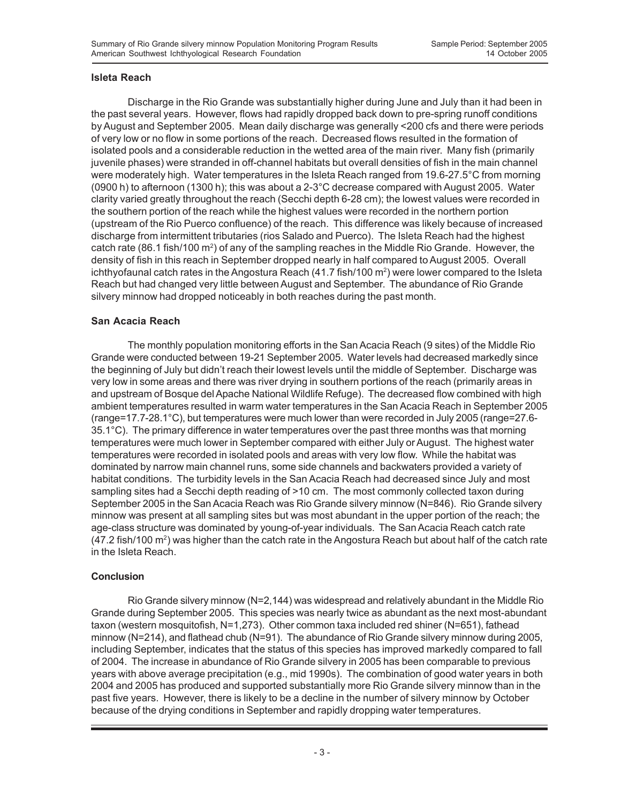### **Isleta Reach**

Discharge in the Rio Grande was substantially higher during June and July than it had been in the past several years. However, flows had rapidly dropped back down to pre-spring runoff conditions by August and September 2005. Mean daily discharge was generally <200 cfs and there were periods of very low or no flow in some portions of the reach. Decreased flows resulted in the formation of isolated pools and a considerable reduction in the wetted area of the main river. Many fish (primarily juvenile phases) were stranded in off-channel habitats but overall densities of fish in the main channel were moderately high. Water temperatures in the Isleta Reach ranged from 19.6-27.5°C from morning (0900 h) to afternoon (1300 h); this was about a 2-3°C decrease compared with August 2005. Water clarity varied greatly throughout the reach (Secchi depth 6-28 cm); the lowest values were recorded in the southern portion of the reach while the highest values were recorded in the northern portion (upstream of the Rio Puerco confluence) of the reach. This difference was likely because of increased discharge from intermittent tributaries (rios Salado and Puerco). The Isleta Reach had the highest catch rate (86.1 fish/100 m<sup>2</sup>) of any of the sampling reaches in the Middle Rio Grande. However, the density of fish in this reach in September dropped nearly in half compared to August 2005. Overall ichthyofaunal catch rates in the Angostura Reach  $(41.7 \text{ fish}/100 \text{ m}^2)$  were lower compared to the Isleta Reach but had changed very little between August and September. The abundance of Rio Grande silvery minnow had dropped noticeably in both reaches during the past month.

### **San Acacia Reach**

The monthly population monitoring efforts in the San Acacia Reach (9 sites) of the Middle Rio Grande were conducted between 19-21 September 2005. Water levels had decreased markedly since the beginning of July but didn't reach their lowest levels until the middle of September. Discharge was very low in some areas and there was river drying in southern portions of the reach (primarily areas in and upstream of Bosque del Apache National Wildlife Refuge). The decreased flow combined with high ambient temperatures resulted in warm water temperatures in the San Acacia Reach in September 2005 (range=17.7-28.1°C), but temperatures were much lower than were recorded in July 2005 (range=27.6- 35.1°C). The primary difference in water temperatures over the past three months was that morning temperatures were much lower in September compared with either July or August. The highest water temperatures were recorded in isolated pools and areas with very low flow. While the habitat was dominated by narrow main channel runs, some side channels and backwaters provided a variety of habitat conditions. The turbidity levels in the San Acacia Reach had decreased since July and most sampling sites had a Secchi depth reading of >10 cm. The most commonly collected taxon during September 2005 in the San Acacia Reach was Rio Grande silvery minnow (N=846). Rio Grande silvery minnow was present at all sampling sites but was most abundant in the upper portion of the reach; the age-class structure was dominated by young-of-year individuals. The San Acacia Reach catch rate (47.2 fish/100 m2) was higher than the catch rate in the Angostura Reach but about half of the catch rate in the Isleta Reach.

### **Conclusion**

Rio Grande silvery minnow (N=2,144) was widespread and relatively abundant in the Middle Rio Grande during September 2005. This species was nearly twice as abundant as the next most-abundant taxon (western mosquitofish, N=1,273). Other common taxa included red shiner (N=651), fathead minnow (N=214), and flathead chub (N=91). The abundance of Rio Grande silvery minnow during 2005, including September, indicates that the status of this species has improved markedly compared to fall of 2004. The increase in abundance of Rio Grande silvery in 2005 has been comparable to previous years with above average precipitation (e.g., mid 1990s). The combination of good water years in both 2004 and 2005 has produced and supported substantially more Rio Grande silvery minnow than in the past five years. However, there is likely to be a decline in the number of silvery minnow by October because of the drying conditions in September and rapidly dropping water temperatures.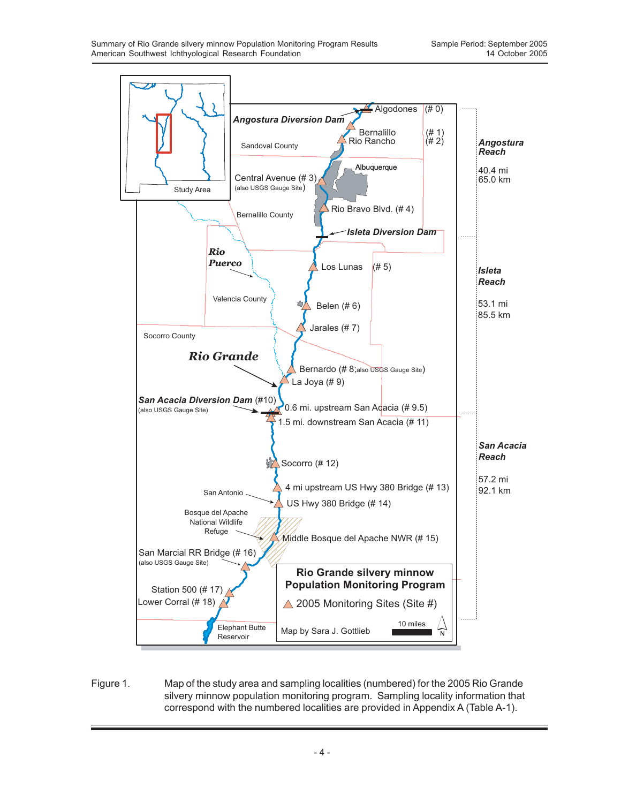

Figure 1. Map of the study area and sampling localities (numbered) for the 2005 Rio Grande silvery minnow population monitoring program. Sampling locality information that correspond with the numbered localities are provided in Appendix A (Table A-1).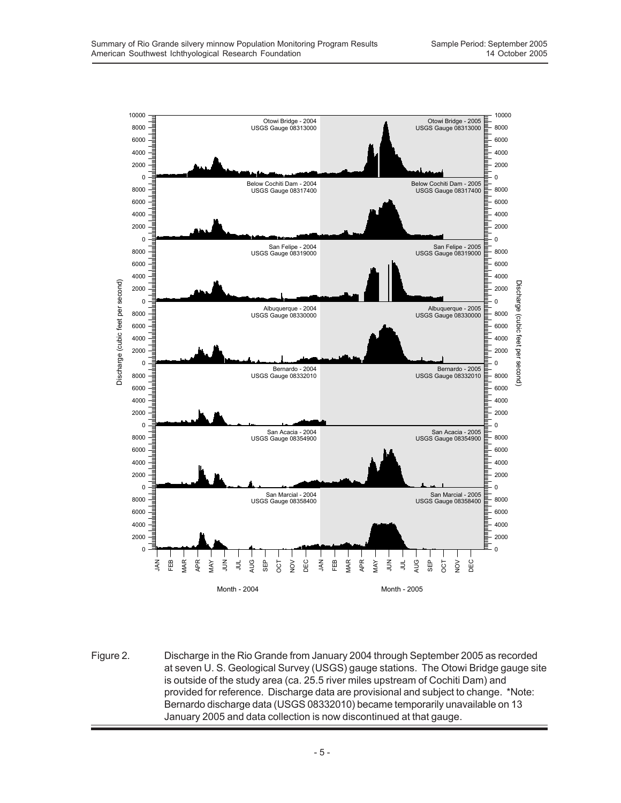

Figure 2. Discharge in the Rio Grande from January 2004 through September 2005 as recorded at seven U. S. Geological Survey (USGS) gauge stations. The Otowi Bridge gauge site is outside of the study area (ca. 25.5 river miles upstream of Cochiti Dam) and provided for reference. Discharge data are provisional and subject to change. \*Note: Bernardo discharge data (USGS 08332010) became temporarily unavailable on 13 January 2005 and data collection is now discontinued at that gauge.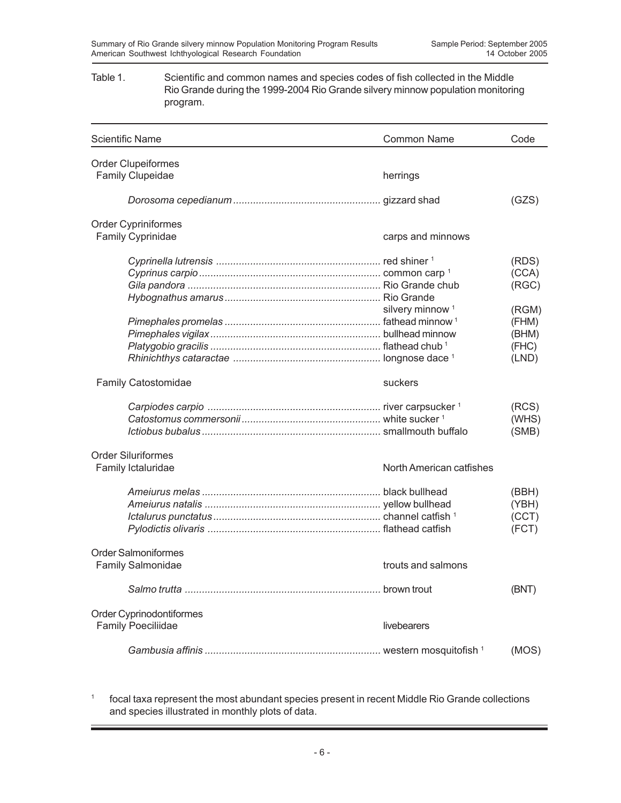### Table 1. Scientific and common names and species codes of fish collected in the Middle Rio Grande during the 1999-2004 Rio Grande silvery minnow population monitoring program.

| <b>Scientific Name</b>     | <b>Common Name</b>          | Code  |
|----------------------------|-----------------------------|-------|
| <b>Order Clupeiformes</b>  |                             |       |
| Family Clupeidae           | herrings                    |       |
|                            |                             | (GZS) |
| <b>Order Cypriniformes</b> |                             |       |
| <b>Family Cyprinidae</b>   | carps and minnows           |       |
|                            |                             | (RDS) |
|                            |                             | (CCA) |
|                            |                             | (RGC) |
|                            |                             |       |
|                            | silvery minnow <sup>1</sup> | (RGM) |
|                            |                             | (FHM) |
|                            |                             | (BHM) |
|                            |                             | (FHC) |
|                            |                             | (LND) |
| <b>Family Catostomidae</b> | suckers                     |       |
|                            |                             | (RCS) |
|                            |                             | (WHS) |
|                            |                             | (SMB) |
| <b>Order Siluriformes</b>  |                             |       |
| Family Ictaluridae         | North American catfishes    |       |
|                            |                             | (BBH) |
|                            |                             | (YBH) |
|                            |                             | (CCT) |
|                            |                             | (FCT) |
| <b>Order Salmoniformes</b> |                             |       |
| <b>Family Salmonidae</b>   | trouts and salmons          |       |
|                            |                             | (BNT) |
| Order Cyprinodontiformes   |                             |       |
| <b>Family Poeciliidae</b>  | livebearers                 |       |
|                            |                             | (MOS) |

<sup>1</sup> focal taxa represent the most abundant species present in recent Middle Rio Grande collections and species illustrated in monthly plots of data.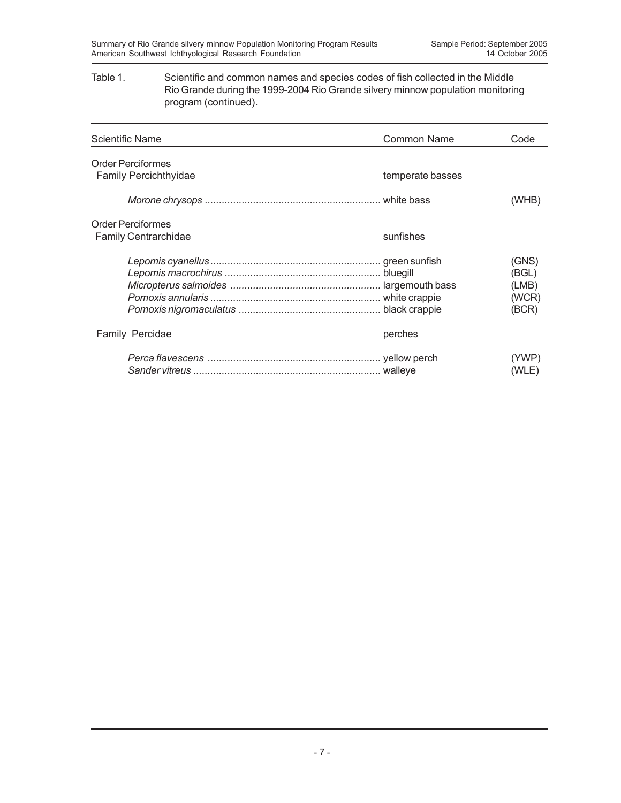### Table 1. Scientific and common names and species codes of fish collected in the Middle Rio Grande during the 1999-2004 Rio Grande silvery minnow population monitoring program (continued).

| Scientific Name                                          | <b>Common Name</b> | Code                                      |
|----------------------------------------------------------|--------------------|-------------------------------------------|
| <b>Order Perciformes</b><br><b>Family Percichthyidae</b> | temperate basses   |                                           |
|                                                          |                    | (WHB)                                     |
| <b>Order Perciformes</b><br><b>Family Centrarchidae</b>  | sunfishes          |                                           |
|                                                          |                    | (GNS)<br>(BGL)<br>(LMB)<br>(WCR)<br>(BCR) |
| Family Percidae                                          | perches            |                                           |
|                                                          |                    | (YWP)<br>(WLE)                            |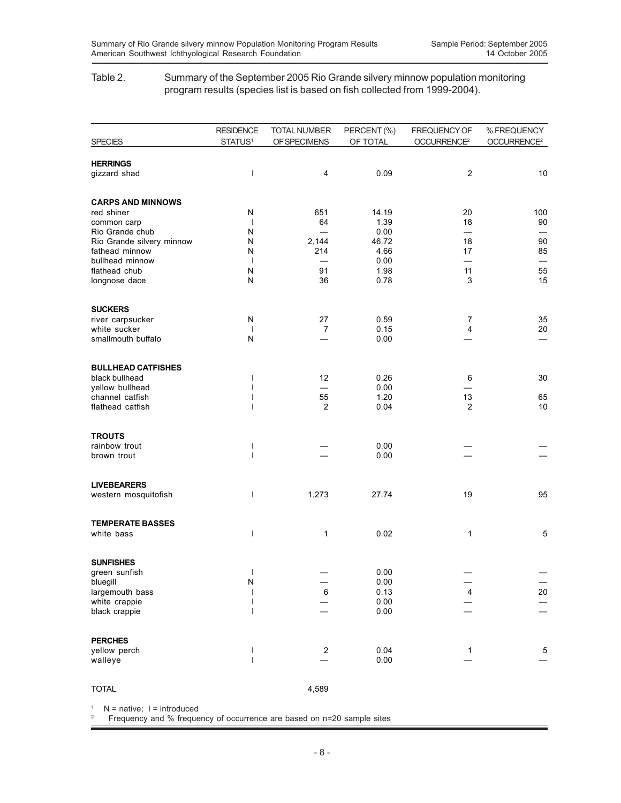### Table 2. Summary of the September 2005 Rio Grande silvery minnow population monitoring program results (species list is based on fish collected from 1999-2004).

|                                        | <b>RESIDENCE</b>              | <b>TOTAL NUMBER</b>     | PERCENT (%)  | FREQUENCY OF             | % FREQUENCY             |
|----------------------------------------|-------------------------------|-------------------------|--------------|--------------------------|-------------------------|
| <b>SPECIES</b>                         | STATUS <sup>1</sup>           | OF SPECIMENS            | OF TOTAL     | OCCURRENCE <sup>2</sup>  | OCCURRENCE <sup>2</sup> |
| <b>HERRINGS</b>                        |                               |                         |              |                          |                         |
| gizzard shad                           | I                             | 4                       | 0.09         | $\overline{2}$           | 10                      |
|                                        |                               |                         |              |                          |                         |
| <b>CARPS AND MINNOWS</b><br>red shiner | N                             | 651                     | 14.19        | 20                       | 100                     |
| common carp                            | $\mathbf{I}$                  | 64                      | 1.39         | 18                       | 90                      |
| Rio Grande chub                        | N                             |                         | 0.00         | $\overline{\phantom{0}}$ |                         |
| Rio Grande silvery minnow              | N                             | 2,144                   | 46.72        | 18                       | 90                      |
| fathead minnow                         | N                             | 214                     | 4.66         | 17                       | 85                      |
| bullhead minnow<br>flathead chub       | $\overline{\phantom{a}}$<br>N | 91                      | 0.00<br>1.98 | 11                       | 55                      |
| longnose dace                          | ${\sf N}$                     | 36                      | 0.78         | 3                        | 15                      |
| <b>SUCKERS</b>                         |                               |                         |              |                          |                         |
| river carpsucker                       | N                             | 27                      | 0.59         | 7                        | 35                      |
| white sucker                           | $\mathbf{I}$                  | $\overline{7}$          | 0.15         | $\overline{\mathbf{4}}$  | 20                      |
| smallmouth buffalo                     | N                             |                         | 0.00         |                          |                         |
| <b>BULLHEAD CATFISHES</b>              |                               |                         |              |                          |                         |
| black bullhead                         | ı                             | 12                      | 0.26         | 6                        | 30                      |
| yellow bullhead<br>channel catfish     | ı<br>ı                        | 55                      | 0.00<br>1.20 | 13                       | 65                      |
| flathead catfish                       | ı                             | $\overline{2}$          | 0.04         | $\overline{2}$           | 10                      |
| <b>TROUTS</b>                          |                               |                         |              |                          |                         |
| rainbow trout                          | ı                             |                         | 0.00         |                          |                         |
| brown trout                            | ı                             |                         | 0.00         |                          |                         |
| <b>LIVEBEARERS</b>                     |                               |                         |              |                          |                         |
| western mosquitofish                   | ı                             | 1,273                   | 27.74        | 19                       | 95                      |
| <b>TEMPERATE BASSES</b>                |                               |                         |              |                          |                         |
| white bass                             | ı                             | 1                       | 0.02         | 1                        | 5                       |
| <b>SUNFISHES</b>                       |                               |                         |              |                          |                         |
| green sunfish                          | I                             |                         | 0.00         |                          |                         |
| bluegill                               | N                             |                         | 0.00         |                          |                         |
| largemouth bass<br>white crappie       | ı                             | 6                       | 0.13<br>0.00 | 4                        | 20                      |
| black crappie                          | I                             |                         | 0.00         |                          |                         |
| <b>PERCHES</b>                         |                               |                         |              |                          |                         |
| yellow perch                           | I                             | $\overline{\mathbf{c}}$ | 0.04         | 1                        | 5                       |
| walleye                                | $\overline{\phantom{a}}$      |                         | 0.00         |                          |                         |
| <b>TOTAL</b>                           |                               | 4,589                   |              |                          |                         |
|                                        |                               |                         |              |                          |                         |

 $1$  N = native;  $1$  = introduced

2 Frequency and % frequency of occurrence are based on n=20 sample sites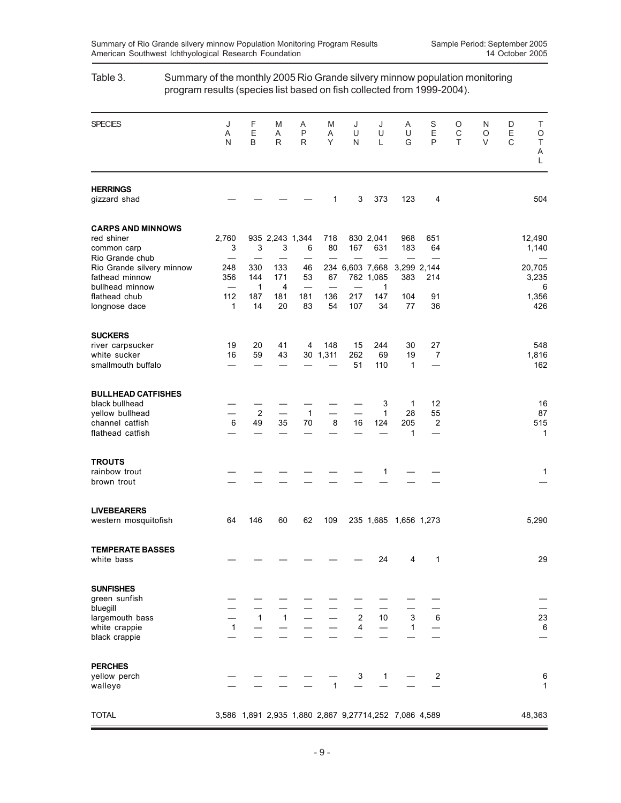| <b>SPECIES</b>                                                                                        | J<br>Α<br>N  | F<br>E<br>B                | M<br>Α<br>R     | Α<br>P<br>R          | M<br>Α<br>Y     | J<br>U<br>N                        | J<br>U<br>L                       | Α<br>U<br>G                                           | S<br>E<br>P                               | O<br>C<br>T | N<br>O<br>V | D<br>Ε<br>$\mathsf{C}$ | Т<br>O<br>$\top$<br>Α<br>L |
|-------------------------------------------------------------------------------------------------------|--------------|----------------------------|-----------------|----------------------|-----------------|------------------------------------|-----------------------------------|-------------------------------------------------------|-------------------------------------------|-------------|-------------|------------------------|----------------------------|
| <b>HERRINGS</b><br>gizzard shad                                                                       |              |                            |                 |                      | 1               | 3                                  | 373                               | 123                                                   | 4                                         |             |             |                        | 504                        |
| <b>CARPS AND MINNOWS</b><br>red shiner<br>common carp                                                 | 2,760<br>3   | 3                          | 3               | 935 2,243 1,344<br>6 | 718<br>80       | 167                                | 830 2,041<br>631                  | 968<br>183                                            | 651<br>64                                 |             |             |                        | 12,490<br>1,140            |
| Rio Grande chub<br>Rio Grande silvery minnow<br>fathead minnow<br>bullhead minnow                     | 248<br>356   | 330<br>144<br>$\mathbf{1}$ | 133<br>171<br>4 | 46<br>53             | 67              | $\overline{\phantom{0}}$           | 234 6,603 7,668<br>762 1,085<br>1 | 383                                                   | 3,299 2,144<br>214                        |             |             |                        | 20,705<br>3,235<br>6       |
| flathead chub<br>longnose dace                                                                        | 112<br>1     | 187<br>14                  | 181<br>20       | 181<br>83            | 136<br>54       | 217<br>107                         | 147<br>34                         | 104<br>77                                             | 91<br>36                                  |             |             |                        | 1,356<br>426               |
| <b>SUCKERS</b><br>river carpsucker<br>white sucker<br>smallmouth buffalo                              | 19<br>16     | 20<br>59                   | 41<br>43        | 4                    | 148<br>30 1,311 | 15<br>262<br>51                    | 244<br>69<br>110                  | 30<br>19<br>1                                         | 27<br>7                                   |             |             |                        | 548<br>1,816<br>162        |
| <b>BULLHEAD CATFISHES</b><br>black bullhead<br>yellow bullhead<br>channel catfish<br>flathead catfish | 6            | $\overline{2}$<br>49       | 35              | $\mathbf{1}$<br>70   | 8               | 16                                 | 3<br>1<br>124                     | 1<br>28<br>205<br>1                                   | 12<br>55<br>2<br>$\overline{\phantom{0}}$ |             |             |                        | 16<br>87<br>515<br>1       |
| <b>TROUTS</b><br>rainbow trout<br>brown trout                                                         |              |                            |                 |                      |                 |                                    | 1                                 |                                                       |                                           |             |             |                        | 1                          |
| <b>LIVEBEARERS</b><br>western mosquitofish                                                            | 64           | 146                        | 60              | 62                   | 109             |                                    |                                   | 235 1,685 1,656 1,273                                 |                                           |             |             |                        | 5,290                      |
| <b>TEMPERATE BASSES</b><br>white bass                                                                 |              |                            |                 |                      |                 |                                    | 24                                | 4                                                     | 1                                         |             |             |                        | 29                         |
| <b>SUNFISHES</b><br>green sunfish<br>bluegill<br>largemouth bass<br>white crappie<br>black crappie    | $\mathbf{1}$ | $\mathbf{1}$               | $\mathbf{1}$    |                      |                 | $\boldsymbol{2}$<br>$\overline{4}$ | 10                                | $\ensuremath{\mathsf{3}}$<br>$\mathbf{1}$             | 6                                         |             |             |                        | 23<br>$\,6$                |
| <b>PERCHES</b><br>yellow perch<br>walleye                                                             |              |                            |                 |                      | 1               | 3                                  | 1                                 |                                                       | $\overline{c}$                            |             |             |                        | 6<br>1                     |
| <b>TOTAL</b>                                                                                          |              |                            |                 |                      |                 |                                    |                                   | 3,586 1,891 2,935 1,880 2,867 9,27714,252 7,086 4,589 |                                           |             |             |                        | 48,363                     |

### Table 3. Summary of the monthly 2005 Rio Grande silvery minnow population monitoring program results (species list based on fish collected from 1999-2004).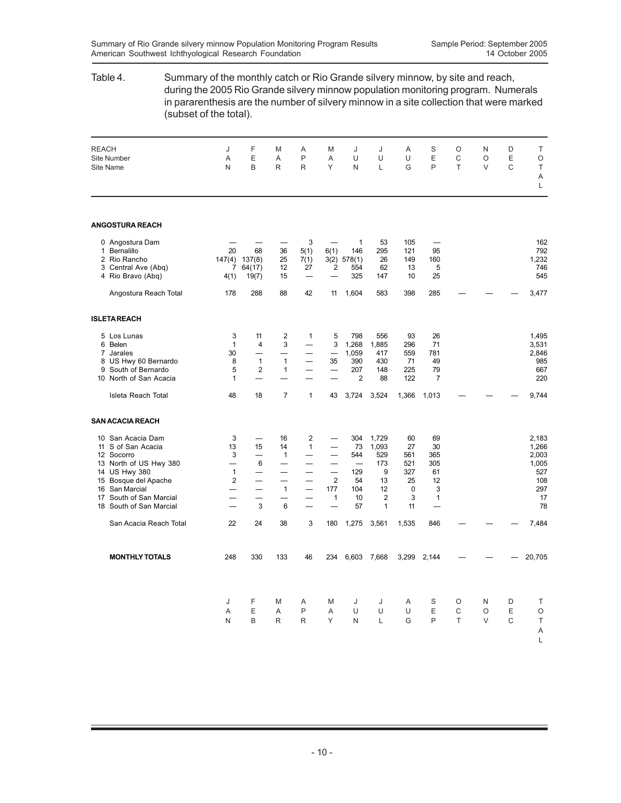## Table 4. Summary of the monthly catch or Rio Grande silvery minnow, by site and reach, during the 2005 Rio Grande silvery minnow population monitoring program. Numerals in pararenthesis are the number of silvery minnow in a site collection that were marked (subset of the total). REACH J F M A M J J A S O N D T Site Number A E A P A U U U E C O E O Site Name N B R R Y N L G P T V C T A L **ANGOSTURA REACH** 0 Angostura Dam — — — 3 — 1 53 105 — 162 1 Bernalillo 20 68 36 5(1) 6(1) 146 295 121 95 792 2 Rio Rancho 147(4) 137(8) 25 7(1) 3(2) 578(1) 26 149 160 1,232 3 Central Ave (Abq)  $\overrightarrow{7}$  64(17)  $\overrightarrow{12}$   $\overrightarrow{27}$   $\overrightarrow{2}$  554 62 13 5<br>4 Rio Bravo (Abq)  $\overrightarrow{4(1)}$  19(7) 15 - - 325 147 10 25 4 Rio Bravo (Abq) (41) 19(7) 15 - - 325 147 10 25 Angostura Reach Total 178 288 88 42 11 1,604 583 398 285 - - - - 3,477 **ISLETA REACH** 5 Los Lunas 3 11 2 1 5 798 556 93 26 1,495 6 Belen 1 4 3 — 3 1,268 1,885 296 71 3,531 7 Jarales 30 — — — — 1,059 417 559 781 2,846 8 US Hwy 60 Bernardo 8 1 1 — 35 390 430 71 49 985 9 South of Bernardo 5 2 1 — — 207 148 225 79 667 10 North of San Acacia 1 — — — 2 88 122 7 Isleta Reach Total 48 18 7 1 43 3,724 3,524 1,366 1,013 — — — 9,744 **SAN ACACIA REACH** 10 San Acacia Dam  $\begin{array}{ccccccccccc}\n 10 & \text{San Acacia} & 10 & 3 & - & 16 & 2 & - & 304 & 1,729 & 60 & 69 & & 2,183 \\
 11 & \text{So San Acacia} & & 13 & 15 & 14 & 1 & - & 73 & 1,093 & 27 & 30 & & 1,266 \\
 12 & \text{Socorr} & & 3 & -$ 11 S of San Acacia 13 15 14 1 - 73 1,093 27 30 1,266<br>
12 Socorro 13 - 1 - 544 529 561 365 2,003<br>
13 North of US Hwy 380 - 6 - - - 173 521 305 1,005 12 Socorro 3 — 1 — — 544 529 561 365 2,003 13 North of US Hwy 380  $\begin{array}{cccccccc} 3 & - & 1 & - & - & 544 & 529 & 561 & 365 & 2,003 \\ 13 & \text{North of } USL + Wyy & 380 & - & 6 & - & - & - & - & 173 & 521 & 305 & 1,005 \\ 14 & \text{USL + Wy} & 380 & 1 & - & - & - & - & - & 129 & 9 & 327 & 61 & 527 \\ 15 & \text{Bosque del Apache} & 2 & - & - & - & 2 & 54 & 13 & 25 & 1$ 14 US Hwy 380<br>
15 Bosque del Apache<br>
16 San Marcial<br>
16 San Marcial<br>
17 South of San Marcial<br>
17 South of San Marcial<br>
17 300 - - - - - - 1 10 2 3<br>
17 30 - - - 1 10 2<br>
17 30 - 1 10 2<br>
17 30 - 1 10 2<br>
17 30 - 1 10 2 15 Bosque del Apache 2 — — 2 54 13 25 12 108<br>
16 San Marcial — 1 — 177 104 12 0 3 297<br>
17 South of San Marcial — — — 1 10 2 3 1<br>
18 South of San Marcial — 3 6 — — 57 1 11 — 78 16 San Marcial — — 1 — 177 104 12 0 3 297 17 South of San Marcial — — — — — 1 10 2 3 1 1 17<br>18 South of San Marcial — 3 6 — — 57 1 11 — 78 18 South of San Marcial San Acacia Reach Total 22 24 38 3 180 1,275 3,561 1,535 846 - - - 7,484 **MONTHLY TOTALS** 248 330 133 46 234 6,603 7,668 3,299 2,144 — — — 20,705 J FMA MJ J ASO ND T AEAP AUU UEC OE O NBRR YNL GPT VC T A  $\mathbf{L}$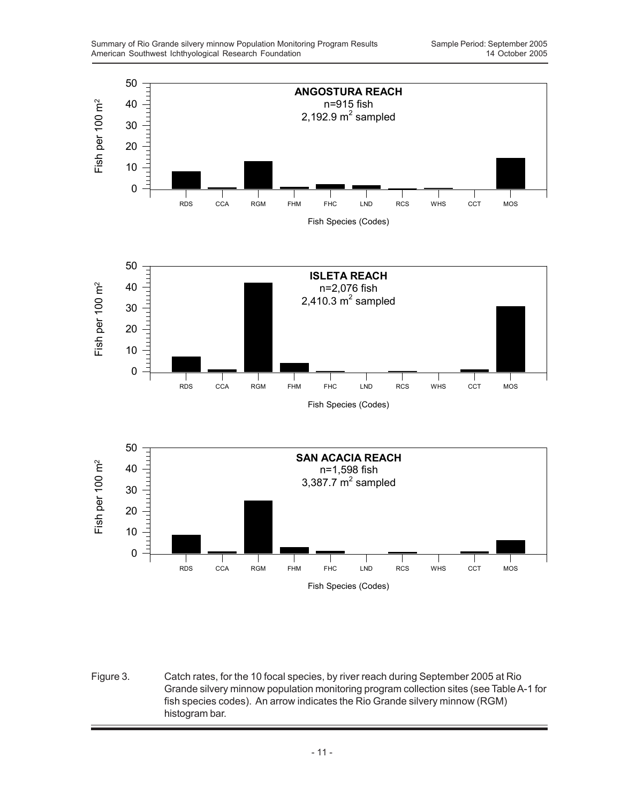

Figure 3. Catch rates, for the 10 focal species, by river reach during September 2005 at Rio Grande silvery minnow population monitoring program collection sites (see Table A-1 for fish species codes). An arrow indicates the Rio Grande silvery minnow (RGM) histogram bar.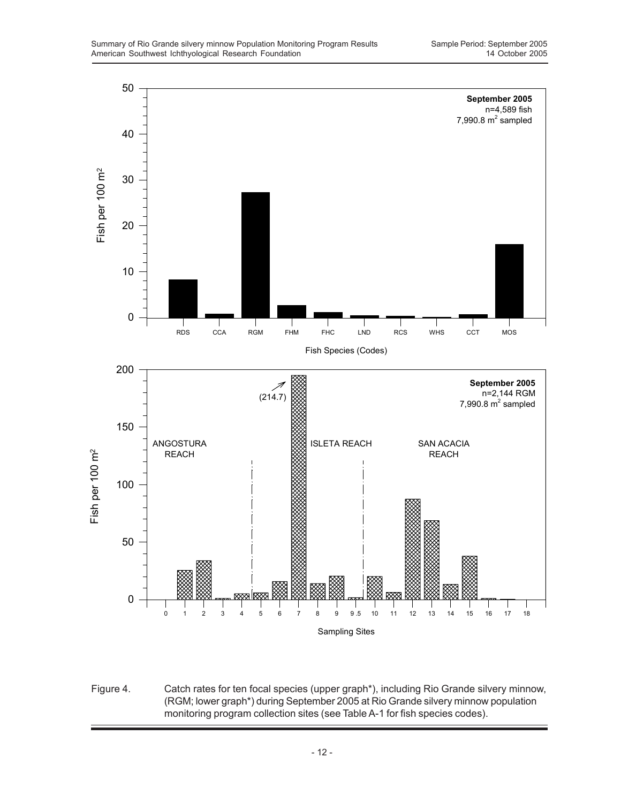

Figure 4. Catch rates for ten focal species (upper graph\*), including Rio Grande silvery minnow, (RGM; lower graph\*) during September 2005 at Rio Grande silvery minnow population monitoring program collection sites (see Table A-1 for fish species codes).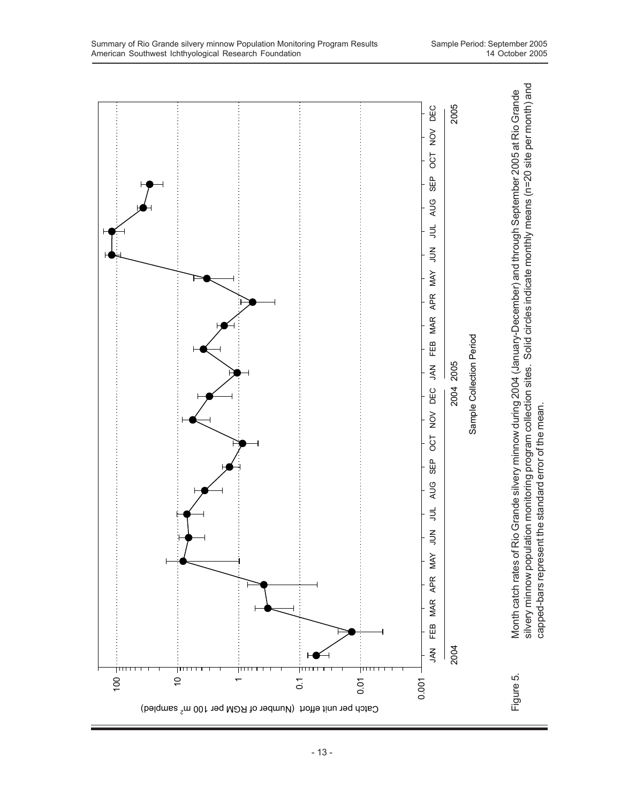

- 13 -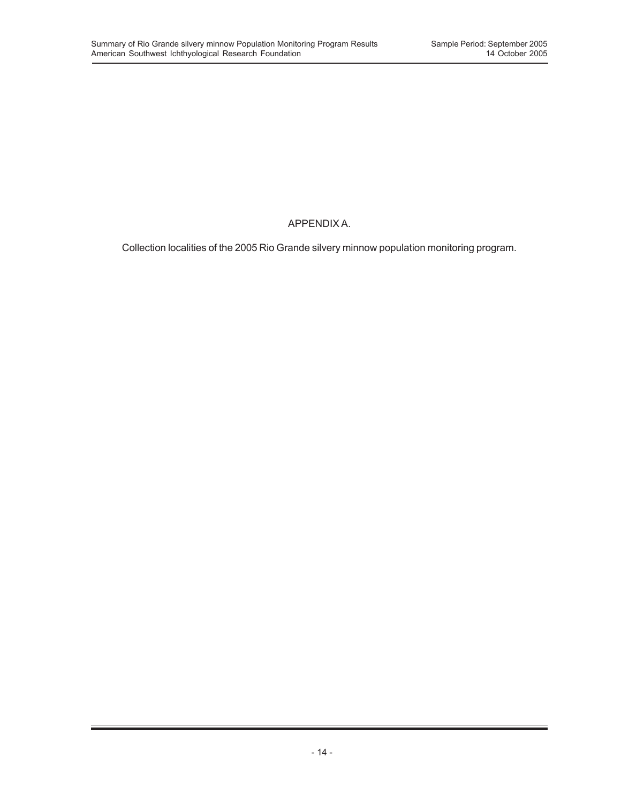# APPENDIX A.

Collection localities of the 2005 Rio Grande silvery minnow population monitoring program.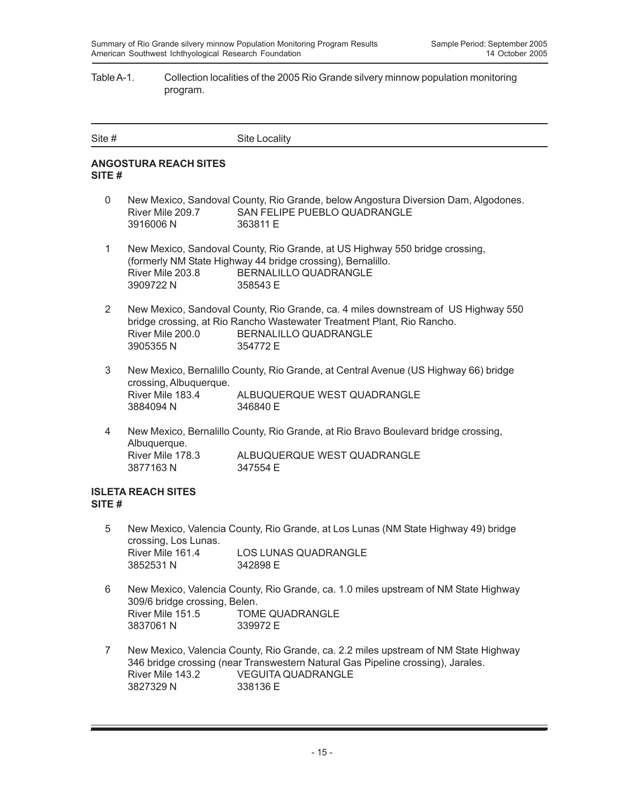#### Table A-1. Collection localities of the 2005 Rio Grande silvery minnow population monitoring program.

| Site # | Site Locality |
|--------|---------------|
|        |               |

### **ANGOSTURA REACH SITES SITE #**

- 0 New Mexico, Sandoval County, Rio Grande, below Angostura Diversion Dam, Algodones. River Mile 209.7 SAN FELIPE PUEBLO QUADRANGLE 3916006 N 363811 E
- 1 New Mexico, Sandoval County, Rio Grande, at US Highway 550 bridge crossing, (formerly NM State Highway 44 bridge crossing), Bernalillo. River Mile 203.8 BERNALILLO QUADRANGLE 3909722 N 358543 E
- 2 New Mexico, Sandoval County, Rio Grande, ca. 4 miles downstream of US Highway 550 bridge crossing, at Rio Rancho Wastewater Treatment Plant, Rio Rancho. River Mile 200.0 BERNALILLO QUADRANGLE 3905355 N 354772 E
- 3 New Mexico, Bernalillo County, Rio Grande, at Central Avenue (US Highway 66) bridge crossing, Albuquerque. ALBUQUERQUE WEST QUADRANGLE 3884094 N 346840 E
- 4 New Mexico, Bernalillo County, Rio Grande, at Rio Bravo Boulevard bridge crossing, Albuquerque. River Mile 178.3 ALBUQUERQUE WEST QUADRANGLE 3877163 N 347554 E

### **ISLETA REACH SITES SITE #**

- 5 New Mexico, Valencia County, Rio Grande, at Los Lunas (NM State Highway 49) bridge crossing, Los Lunas. River Mile 161.4 LOS LUNAS QUADRANGLE 3852531 N 342898 E
- 6 New Mexico, Valencia County, Rio Grande, ca. 1.0 miles upstream of NM State Highway 309/6 bridge crossing, Belen. River Mile 151.5 TOME QUADRANGLE 3837061 N 339972 E
- 7 New Mexico, Valencia County, Rio Grande, ca. 2.2 miles upstream of NM State Highway 346 bridge crossing (near Transwestern Natural Gas Pipeline crossing), Jarales. River Mile 143.2 VEGUITA QUADRANGLE 3827329 N 338136 E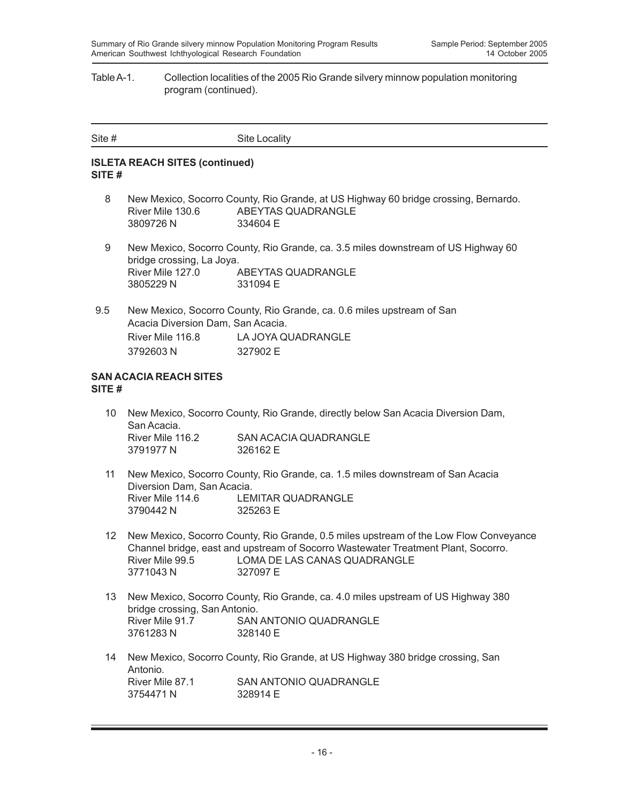#### Table A-1. Collection localities of the 2005 Rio Grande silvery minnow population monitoring program (continued).

| Site # | <b>Site Locality</b> |
|--------|----------------------|
|        |                      |

### **ISLETA REACH SITES (continued) SITE #**

- 8 New Mexico, Socorro County, Rio Grande, at US Highway 60 bridge crossing, Bernardo. River Mile 130.6 ABEYTAS QUADRANGLE 3809726 N 334604 E
- 9 New Mexico, Socorro County, Rio Grande, ca. 3.5 miles downstream of US Highway 60 bridge crossing, La Joya. River Mile 127.0 ABEYTAS QUADRANGLE 3805229 N 331094 E
- 9.5 New Mexico, Socorro County, Rio Grande, ca. 0.6 miles upstream of San Acacia Diversion Dam, San Acacia. River Mile 116.8 LA JOYA QUADRANGLE 3792603 N 327902 E

#### **SAN ACACIA REACH SITES SITE #**

- 10 New Mexico, Socorro County, Rio Grande, directly below San Acacia Diversion Dam, San Acacia. River Mile 116.2 SAN ACACIA QUADRANGLE 3791977 N 326162 E
- 11 New Mexico, Socorro County, Rio Grande, ca. 1.5 miles downstream of San Acacia Diversion Dam, San Acacia. River Mile 114.6 LEMITAR QUADRANGLE 3790442 N 325263 E
- 12 New Mexico, Socorro County, Rio Grande, 0.5 miles upstream of the Low Flow Conveyance Channel bridge, east and upstream of Socorro Wastewater Treatment Plant, Socorro. River Mile 99.5 LOMA DE LAS CANAS QUADRANGLE 3771043 N 327097 E
- 13 New Mexico, Socorro County, Rio Grande, ca. 4.0 miles upstream of US Highway 380 bridge crossing, San Antonio. River Mile 91.7 SAN ANTONIO QUADRANGLE 3761283 N 328140 E
- 14 New Mexico, Socorro County, Rio Grande, at US Highway 380 bridge crossing, San Antonio.<br>River Mile 87.1 SAN ANTONIO QUADRANGLE 3754471 N 328914 F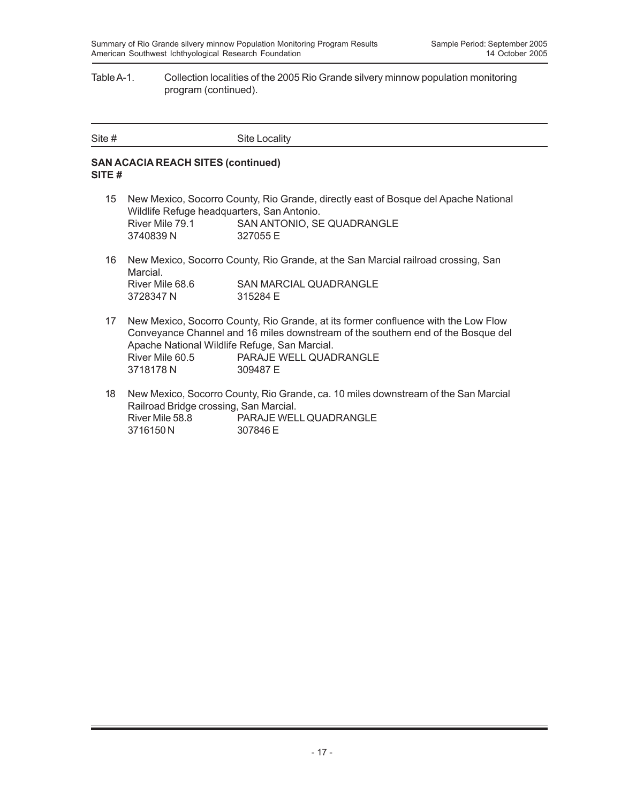#### Table A-1. Collection localities of the 2005 Rio Grande silvery minnow population monitoring program (continued).

| Site # | Site Locality |
|--------|---------------|
|        |               |

### **SAN ACACIA REACH SITES (continued) SITE #**

- 15 New Mexico, Socorro County, Rio Grande, directly east of Bosque del Apache National Wildlife Refuge headquarters, San Antonio. River Mile 79.1 SAN ANTONIO, SE QUADRANGLE 3740839 N 327055 E
- 16 New Mexico, Socorro County, Rio Grande, at the San Marcial railroad crossing, San Marcial. River Mile 68.6 SAN MARCIAL QUADRANGLE 3728347 N 315284 E
- 17 New Mexico, Socorro County, Rio Grande, at its former confluence with the Low Flow Conveyance Channel and 16 miles downstream of the southern end of the Bosque del Apache National Wildlife Refuge, San Marcial. River Mile 60.5 PARAJE WELL QUADRANGLE 3718178 N 309487 E
- 18 New Mexico, Socorro County, Rio Grande, ca. 10 miles downstream of the San Marcial Railroad Bridge crossing, San Marcial. River Mile 58.8 PARAJE WELL QUADRANGLE 3716150 N 307846 E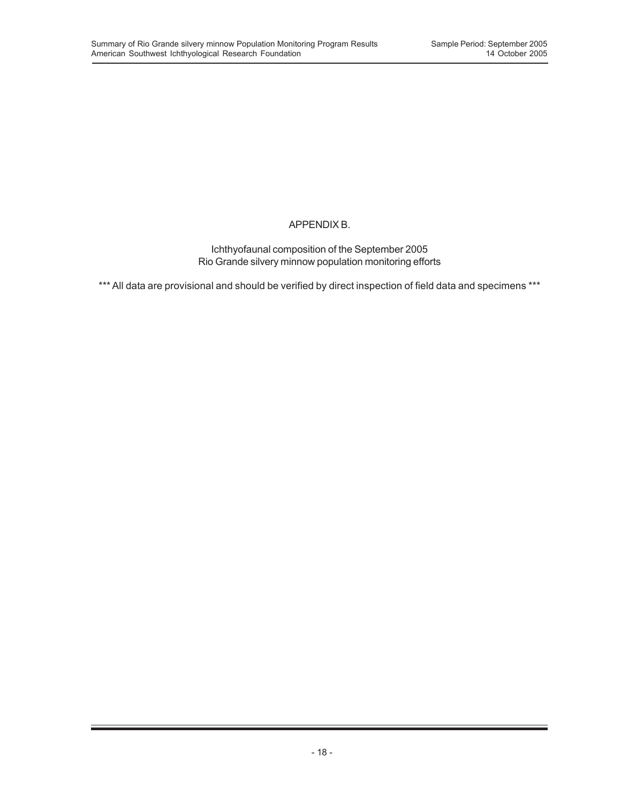## APPENDIX B.

Ichthyofaunal composition of the September 2005 Rio Grande silvery minnow population monitoring efforts

\*\*\* All data are provisional and should be verified by direct inspection of field data and specimens \*\*\*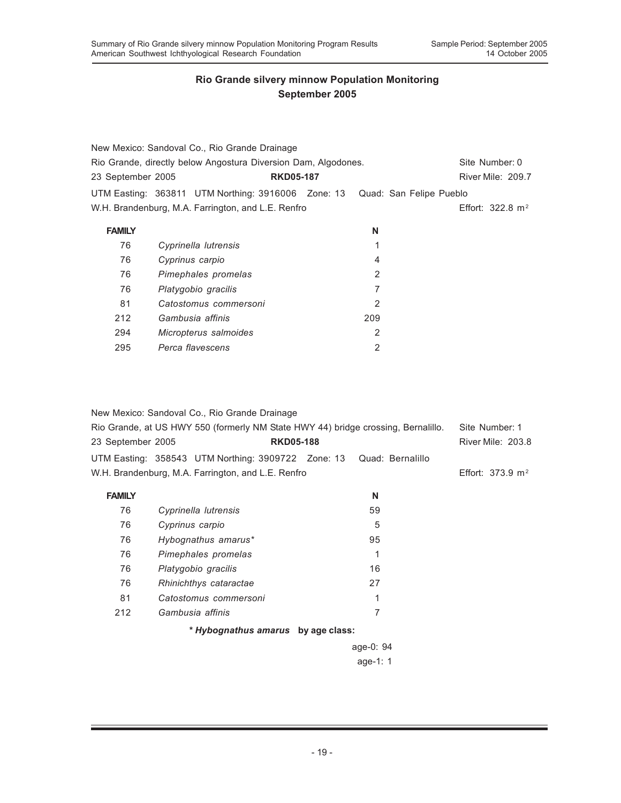|                   | New Mexico: Sandoval Co., Rio Grande Drainage                              |     |                             |
|-------------------|----------------------------------------------------------------------------|-----|-----------------------------|
|                   | Rio Grande, directly below Angostura Diversion Dam, Algodones.             |     | Site Number: 0              |
| 23 September 2005 | <b>RKD05-187</b>                                                           |     | River Mile: 209.7           |
|                   | UTM Easting: 363811 UTM Northing: 3916006 Zone: 13 Quad: San Felipe Pueblo |     |                             |
|                   | W.H. Brandenburg, M.A. Farrington, and L.E. Renfro                         |     | Effort: $322.8 \text{ m}^2$ |
| <b>FAMILY</b>     |                                                                            | N   |                             |
| 76                | Cyprinella lutrensis                                                       | 1   |                             |
| 76                | Cyprinus carpio                                                            | 4   |                             |
| 76                | Pimephales promelas                                                        | 2   |                             |
| 76                | Platygobio gracilis                                                        | 7   |                             |
| 81                | Catostomus commersoni                                                      | 2   |                             |
| 212               | Gambusia affinis                                                           | 209 |                             |
| 294               | Micropterus salmoides                                                      | 2   |                             |
| 295               | Perca flavescens                                                           | 2   |                             |

|                   | New Mexico: Sandoval Co., Rio Grande Drainage                                     |            |                             |
|-------------------|-----------------------------------------------------------------------------------|------------|-----------------------------|
|                   | Rio Grande, at US HWY 550 (formerly NM State HWY 44) bridge crossing, Bernalillo. |            | Site Number: 1              |
| 23 September 2005 | <b>RKD05-188</b>                                                                  |            | <b>River Mile: 203.8</b>    |
|                   | UTM Easting: 358543 UTM Northing: 3909722 Zone: 13 Quad: Bernalillo               |            |                             |
|                   | W.H. Brandenburg, M.A. Farrington, and L.E. Renfro                                |            | Effort: $373.9 \text{ m}^2$ |
| <b>FAMILY</b>     |                                                                                   | N          |                             |
| 76                | Cyprinella lutrensis                                                              | 59         |                             |
| 76                | Cyprinus carpio                                                                   | 5          |                             |
| 76                | Hybognathus amarus*                                                               | 95         |                             |
| 76                | Pimephales promelas                                                               | 1          |                             |
| 76                | Platygobio gracilis                                                               | 16         |                             |
| 76                | Rhinichthys cataractae                                                            | 27         |                             |
| 81                | Catostomus commersoni                                                             | 1          |                             |
| 212               | Gambusia affinis                                                                  | 7          |                             |
|                   | * Hybognathus amarus by age class:                                                |            |                             |
|                   |                                                                                   | age-0: 94  |                             |
|                   |                                                                                   | age-1: $1$ |                             |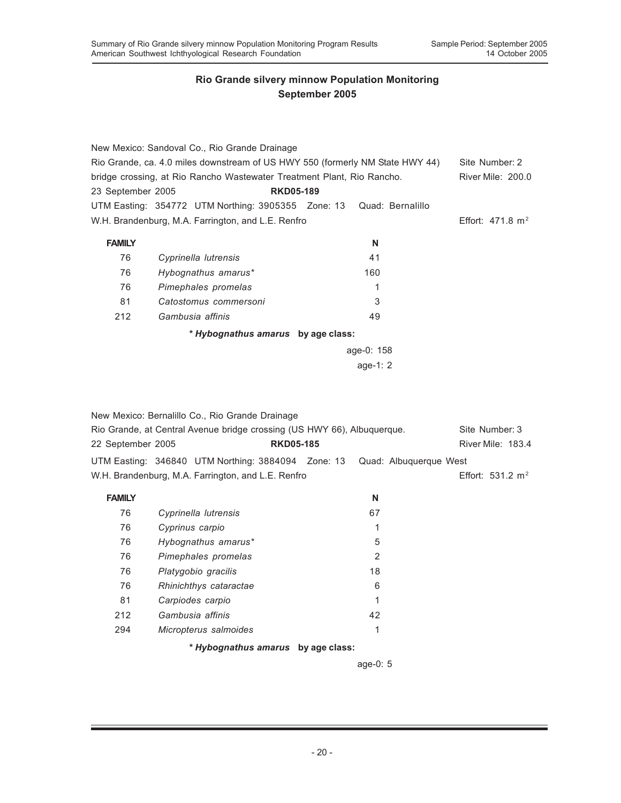|                   | New Mexico: Sandoval Co., Rio Grande Drainage                                 |                |                             |
|-------------------|-------------------------------------------------------------------------------|----------------|-----------------------------|
|                   | Rio Grande, ca. 4.0 miles downstream of US HWY 550 (formerly NM State HWY 44) | Site Number: 2 |                             |
|                   | bridge crossing, at Rio Rancho Wastewater Treatment Plant, Rio Rancho.        |                | River Mile: 200.0           |
| 23 September 2005 | <b>RKD05-189</b>                                                              |                |                             |
|                   | UTM Easting: 354772 UTM Northing: 3905355 Zone: 13 Quad: Bernalillo           |                |                             |
|                   | W.H. Brandenburg, M.A. Farrington, and L.E. Renfro                            |                | Effort: $471.8 \text{ m}^2$ |
| <b>FAMILY</b>     |                                                                               | N              |                             |
| 76                | Cyprinella lutrensis                                                          | 41             |                             |
| 76                | Hybognathus amarus*                                                           | 160            |                             |
| 76                | Pimephales promelas                                                           | 1              |                             |
| 81                | Catostomus commersoni                                                         | 3              |                             |
| 212               | Gambusia affinis                                                              | 49             |                             |
|                   | * Hybognathus amarus by age class:                                            |                |                             |
|                   |                                                                               | age-0: 158     |                             |
|                   |                                                                               | age-1: 2       |                             |

|                   | New Mexico: Bernalillo Co., Rio Grande Drainage                         |                        |                     |
|-------------------|-------------------------------------------------------------------------|------------------------|---------------------|
|                   | Rio Grande, at Central Avenue bridge crossing (US HWY 66), Albuguergue. |                        | Site Number: 3      |
| 22 September 2005 | <b>RKD05-185</b>                                                        |                        | River Mile: 183.4   |
|                   | UTM Easting: 346840 UTM Northing: 3884094 Zone: 13                      | Quad: Albuguergue West |                     |
|                   | W.H. Brandenburg, M.A. Farrington, and L.E. Renfro                      |                        | Effort: 531.2 $m^2$ |
| <b>FAMILY</b>     |                                                                         | N                      |                     |
| 76                | Cyprinella lutrensis                                                    | 67                     |                     |
| 76                | Cyprinus carpio                                                         | 1                      |                     |
| 76                | Hybognathus amarus*                                                     | 5                      |                     |
| 76                | Pimephales promelas                                                     | $\overline{2}$         |                     |
| 76                | Platygobio gracilis                                                     | 18                     |                     |

|     | $\bullet$ II. . Let us a consecut delay a consecutive and the second second second second second second second second second second second second second second second second second second second second second second second sec<br><u>less e ese rellerens</u> |    |
|-----|-------------------------------------------------------------------------------------------------------------------------------------------------------------------------------------------------------------------------------------------------------------------|----|
| 294 | Micropterus salmoides                                                                                                                                                                                                                                             |    |
| 212 | Gambusia affinis                                                                                                                                                                                                                                                  | 42 |
| -81 | Carpiodes carpio                                                                                                                                                                                                                                                  |    |

76 *Rhinichthys cataractae* 6

*\* Hybognathus amarus* **by age class:**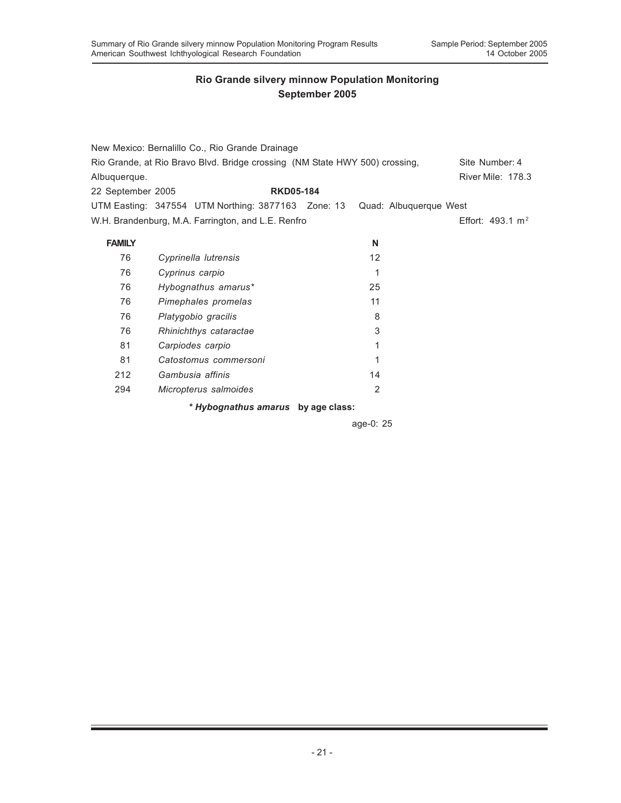|                   | New Mexico: Bernalillo Co., Rio Grande Drainage                             |                  |                        |                              |
|-------------------|-----------------------------------------------------------------------------|------------------|------------------------|------------------------------|
|                   | Rio Grande, at Rio Bravo Blvd. Bridge crossing (NM State HWY 500) crossing, |                  |                        | Site Number: 4               |
| Albuguergue.      |                                                                             |                  |                        | River Mile: 178.3            |
| 22 September 2005 |                                                                             | <b>RKD05-184</b> |                        |                              |
|                   | UTM Easting: 347554 UTM Northing: 3877163 Zone: 13                          |                  | Quad: Albuquerque West |                              |
|                   | W.H. Brandenburg, M.A. Farrington, and L.E. Renfro                          |                  |                        | Fffort: 493.1 m <sup>2</sup> |
| <b>FAMILY</b>     |                                                                             |                  | N                      |                              |
| 76                | Cyprinella lutrensis                                                        |                  | 12                     |                              |
| 76                | Cyprinus carpio                                                             |                  | 1                      |                              |
| 76                | Hybognathus amarus*                                                         |                  | 25                     |                              |
| 76                | Pimephales promelas                                                         |                  | 11                     |                              |
| 76                | Platygobio gracilis                                                         |                  | 8                      |                              |
| 76                | Rhinichthys cataractae                                                      |                  | 3                      |                              |
| 81                | Carpiodes carpio                                                            |                  |                        |                              |
| 81                | Catostomus commersoni                                                       |                  | 1                      |                              |
| 212               | Gambusia affinis                                                            |                  | 14                     |                              |
| 294               | Micropterus salmoides                                                       |                  | 2                      |                              |
|                   | * Hybognathus amarus by age class:                                          |                  |                        |                              |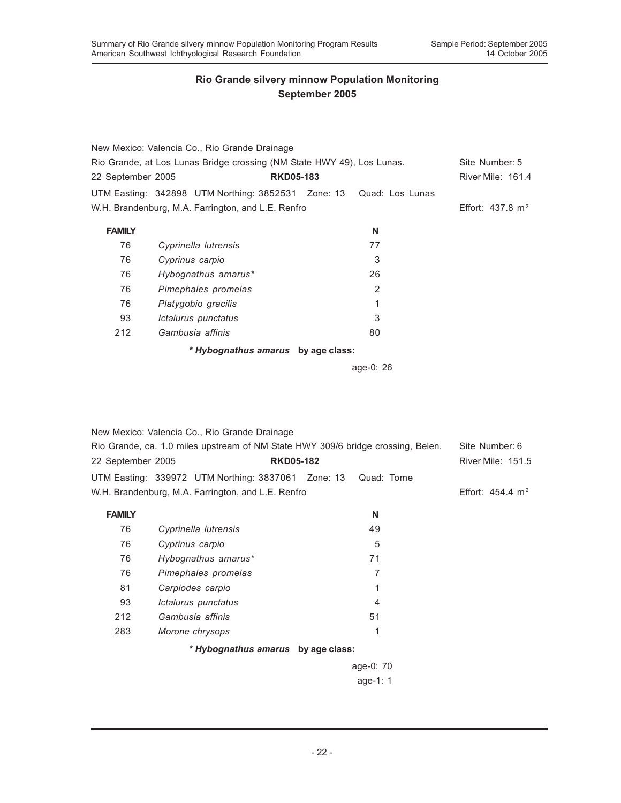|                                                                        | New Mexico: Valencia Co., Rio Grande Drainage                      |  |           |                             |
|------------------------------------------------------------------------|--------------------------------------------------------------------|--|-----------|-----------------------------|
| Rio Grande, at Los Lunas Bridge crossing (NM State HWY 49), Los Lunas. |                                                                    |  |           | Site Number: 5              |
| 22 September 2005                                                      | <b>RKD05-183</b>                                                   |  |           | River Mile: 161.4           |
|                                                                        | UTM Easting: 342898 UTM Northing: 3852531 Zone: 13 Quad: Los Lunas |  |           |                             |
|                                                                        | W.H. Brandenburg, M.A. Farrington, and L.E. Renfro                 |  |           | Effort: $437.8 \text{ m}^2$ |
| <b>FAMILY</b>                                                          |                                                                    |  | N         |                             |
| 76                                                                     | Cyprinella lutrensis                                               |  | 77        |                             |
| 76                                                                     | Cyprinus carpio                                                    |  | 3         |                             |
| 76                                                                     | Hybognathus amarus*                                                |  | 26        |                             |
| 76                                                                     | Pimephales promelas                                                |  | 2         |                             |
| 76                                                                     | Platygobio gracilis                                                |  | 1         |                             |
| 93                                                                     | Ictalurus punctatus                                                |  | 3         |                             |
| 212                                                                    | Gambusia affinis                                                   |  | 80        |                             |
|                                                                        | * Hybognathus amarus by age class:                                 |  |           |                             |
|                                                                        |                                                                    |  | age-0: 26 |                             |

|                   | New Mexico: Valencia Co., Rio Grande Drainage                                    |                  |            |                             |  |
|-------------------|----------------------------------------------------------------------------------|------------------|------------|-----------------------------|--|
|                   | Rio Grande, ca. 1.0 miles upstream of NM State HWY 309/6 bridge crossing, Belen. |                  |            | Site Number: 6              |  |
| 22 September 2005 |                                                                                  | <b>RKD05-182</b> |            | River Mile: 151.5           |  |
|                   | UTM Easting: 339972 UTM Northing: 3837061 Zone: 13                               |                  | Quad: Tome |                             |  |
|                   | W.H. Brandenburg, M.A. Farrington, and L.E. Renfro                               |                  |            | Effort: $454.4 \text{ m}^2$ |  |
| <b>FAMILY</b>     |                                                                                  |                  | N          |                             |  |
| 76                | Cyprinella lutrensis                                                             |                  | 49         |                             |  |
| 76                | Cyprinus carpio                                                                  |                  | 5          |                             |  |

| River i |
|---------|
|         |
| Effort: |
|         |
|         |
|         |
|         |
|         |
|         |
|         |
|         |
|         |
|         |
|         |

age-0: 70 age-1: 1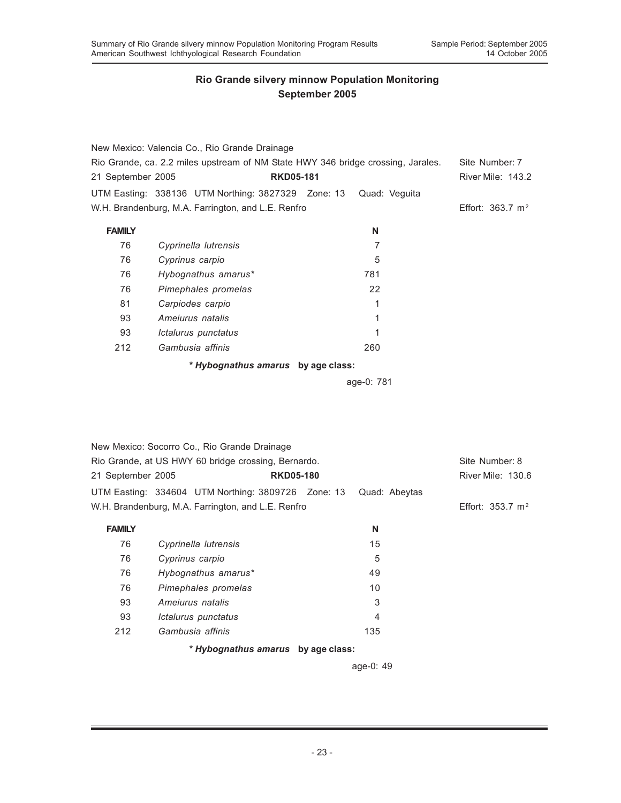|                                                                                  | New Mexico: Valencia Co., Rio Grande Drainage      |               |                             |
|----------------------------------------------------------------------------------|----------------------------------------------------|---------------|-----------------------------|
| Rio Grande, ca. 2.2 miles upstream of NM State HWY 346 bridge crossing, Jarales. | Site Number: 7                                     |               |                             |
| 21 September 2005                                                                | <b>RKD05-181</b>                                   |               | River Mile: 143.2           |
|                                                                                  | UTM Easting: 338136 UTM Northing: 3827329 Zone: 13 | Quad: Veguita |                             |
|                                                                                  | W.H. Brandenburg, M.A. Farrington, and L.E. Renfro |               | Effort: $363.7 \text{ m}^2$ |
| <b>FAMILY</b>                                                                    |                                                    | N             |                             |
| 76                                                                               | Cyprinella lutrensis                               | 7             |                             |
| 76                                                                               | Cyprinus carpio                                    | 5             |                             |
| 76                                                                               | Hybognathus amarus*                                | 781           |                             |
| 76                                                                               | Pimephales promelas                                | 22            |                             |
| 81                                                                               | Carpiodes carpio                                   | 1             |                             |
| 93                                                                               | Ameiurus natalis                                   |               |                             |
| 93                                                                               | Ictalurus punctatus                                |               |                             |
| 212                                                                              | Gambusia affinis                                   | 260           |                             |
|                                                                                  | * Hybognathus amarus by age class:                 |               |                             |
|                                                                                  |                                                    | age-0: 781    |                             |

| 21 September 2005 | New Mexico: Socorro Co., Rio Grande Drainage<br>Rio Grande, at US HWY 60 bridge crossing, Bernardo.<br><b>RKD05-180</b> |               | Site Number: 8<br>River Mile: 130.6 |
|-------------------|-------------------------------------------------------------------------------------------------------------------------|---------------|-------------------------------------|
|                   | UTM Easting: 334604 UTM Northing: 3809726 Zone: 13                                                                      | Quad: Abeytas |                                     |
|                   | W.H. Brandenburg, M.A. Farrington, and L.E. Renfro                                                                      |               | Effort: $353.7 \text{ m}^2$         |
| <b>FAMILY</b>     |                                                                                                                         | N             |                                     |
| 76                | Cyprinella lutrensis                                                                                                    | 15            |                                     |
| 76                | Cyprinus carpio                                                                                                         | 5             |                                     |
| 76                | Hybognathus amarus*                                                                                                     | 49            |                                     |
| 76                | Pimephales promelas                                                                                                     | 10            |                                     |
| 93                | Amejurus natalis                                                                                                        | 3             |                                     |
| 93                | Ictalurus punctatus                                                                                                     | 4             |                                     |
| 212               | Gambusia affinis                                                                                                        | 135           |                                     |
|                   | * Hybognathus amarus by age class:                                                                                      |               |                                     |
|                   |                                                                                                                         | age-0: 49     |                                     |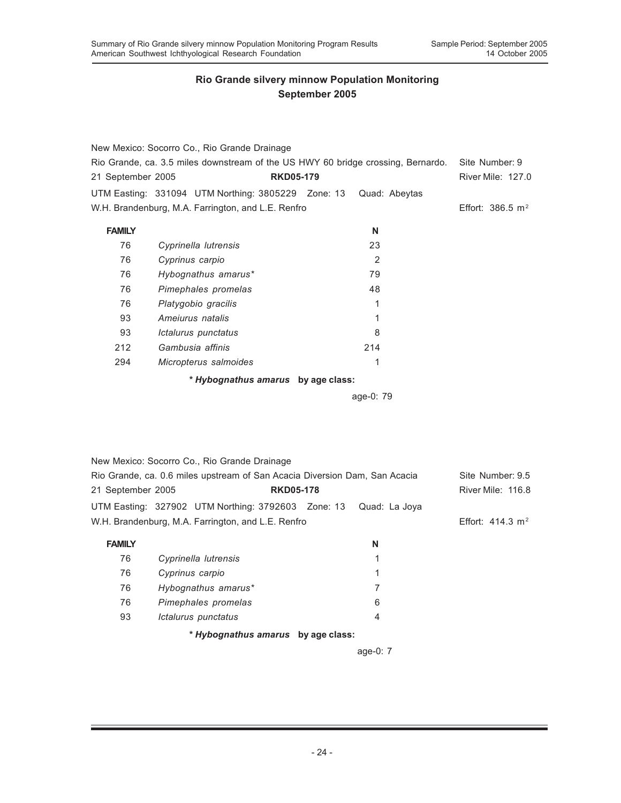| 21 September 2005 | New Mexico: Socorro Co., Rio Grande Drainage<br>Rio Grande, ca. 3.5 miles downstream of the US HWY 60 bridge crossing, Bernardo.<br>UTM Easting: 331094 UTM Northing: 3805229 Zone: 13 | <b>RKD05-179</b> | Quad: Abeytas  | Site Number: 9<br>River Mile: 127.0 |
|-------------------|----------------------------------------------------------------------------------------------------------------------------------------------------------------------------------------|------------------|----------------|-------------------------------------|
|                   | W.H. Brandenburg, M.A. Farrington, and L.E. Renfro                                                                                                                                     |                  |                | Effort: 386.5 $m^2$                 |
| <b>FAMILY</b>     |                                                                                                                                                                                        |                  | N              |                                     |
| 76                | Cyprinella lutrensis                                                                                                                                                                   |                  | 23             |                                     |
| 76                | Cyprinus carpio                                                                                                                                                                        |                  | $\overline{2}$ |                                     |
| 76                | Hybognathus amarus*                                                                                                                                                                    |                  | 79             |                                     |
| 76                | Pimephales promelas                                                                                                                                                                    |                  | 48             |                                     |
| 76                | Platygobio gracilis                                                                                                                                                                    |                  | 1              |                                     |
| 93                | Amejurus natalis                                                                                                                                                                       |                  | 1              |                                     |
| 93                | Ictalurus punctatus                                                                                                                                                                    |                  | 8              |                                     |
| 212               | Gambusia affinis                                                                                                                                                                       |                  | 214            |                                     |
| 294               | Micropterus salmoides                                                                                                                                                                  |                  | 1              |                                     |
|                   | * Hybognathus amarus by age class:                                                                                                                                                     |                  |                |                                     |
|                   |                                                                                                                                                                                        |                  | age-0: 79      |                                     |
|                   |                                                                                                                                                                                        |                  |                |                                     |
|                   |                                                                                                                                                                                        |                  |                |                                     |
|                   | New Mexico: Socorro Co., Rio Grande Drainage                                                                                                                                           |                  |                |                                     |
|                   | Rio Grande, ca. 0.6 miles upstream of San Acacia Diversion Dam, San Acacia                                                                                                             |                  |                | Site Number: 9.5                    |
| 21 September 2005 |                                                                                                                                                                                        | <b>RKD05-178</b> |                | River Mile: 116.8                   |
|                   |                                                                                                                                                                                        |                  |                |                                     |

UTM Easting: 327902 UTM Northing: 3792603 Zone: 13 Quad: La Joya W.H. Brandenburg, M.A. Farrington, and L.E. Renfro **Effort: 414.3 m<sup>2</sup>** Effort: 414.3 m<sup>2</sup>

| <b>FAMILY</b> |                                    | N |  |
|---------------|------------------------------------|---|--|
| 76            | Cyprinella lutrensis               |   |  |
| 76            | Cyprinus carpio                    | 1 |  |
| 76            | Hybognathus amarus*                |   |  |
| 76            | Pimephales promelas                | 6 |  |
| 93            | Ictalurus punctatus                | 4 |  |
|               | * Hybognathus amarus by age class: |   |  |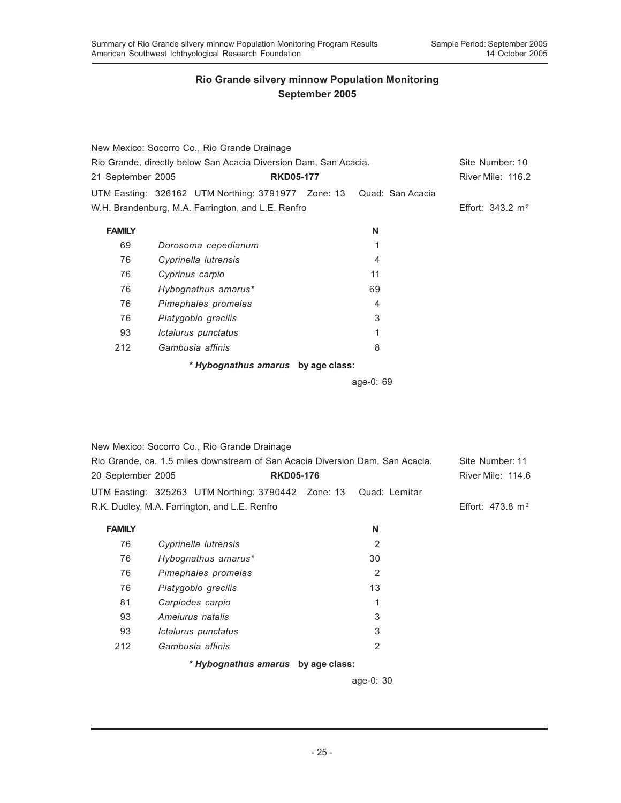|                   | New Mexico: Socorro Co., Rio Grande Drainage                        |  |    |  |                             |
|-------------------|---------------------------------------------------------------------|--|----|--|-----------------------------|
|                   | Rio Grande, directly below San Acacia Diversion Dam, San Acacia.    |  |    |  |                             |
| 21 September 2005 | <b>RKD05-177</b>                                                    |  |    |  | River Mile: 116.2           |
|                   | UTM Easting: 326162 UTM Northing: 3791977 Zone: 13 Quad: San Acacia |  |    |  |                             |
|                   | W.H. Brandenburg, M.A. Farrington, and L.E. Renfro                  |  |    |  | Effort: $343.2 \text{ m}^2$ |
| <b>FAMILY</b>     |                                                                     |  | N  |  |                             |
| 69                | Dorosoma cepedianum                                                 |  | 1  |  |                             |
| 76                | Cyprinella lutrensis                                                |  | 4  |  |                             |
| 76                | Cyprinus carpio                                                     |  | 11 |  |                             |
| 76                | Hybognathus amarus*                                                 |  | 69 |  |                             |
| 76                | Pimephales promelas                                                 |  | 4  |  |                             |
| 76                | Platygobio gracilis                                                 |  | 3  |  |                             |
| 93                | Ictalurus punctatus                                                 |  | 1  |  |                             |
| 212               | Gambusia affinis                                                    |  | 8  |  |                             |
|                   | * Hybognathus amarus by age class:                                  |  |    |  |                             |

age-0: 69

| New Mexico: Socorro Co., Rio Grande Drainage                                  |                  |   |                             |
|-------------------------------------------------------------------------------|------------------|---|-----------------------------|
| Rio Grande, ca. 1.5 miles downstream of San Acacia Diversion Dam, San Acacia. |                  |   | Site Number: 11             |
| 20 September 2005                                                             | <b>RKD05-176</b> |   | River Mile: 114.6           |
| UTM Easting: 325263 UTM Northing: 3790442 Zone: 13 Quad: Lemitar              |                  |   |                             |
| R.K. Dudley, M.A. Farrington, and L.E. Renfro                                 |                  |   | Effort: $473.8 \text{ m}^2$ |
| <b>FAMILY</b>                                                                 |                  | N |                             |

| 76  | Cyprinella lutrensis               | 2              |  |
|-----|------------------------------------|----------------|--|
| 76  | Hybognathus amarus*                | 30             |  |
| 76  | Pimephales promelas                | 2              |  |
| 76  | Platygobio gracilis                | 13             |  |
| 81  | Carpiodes carpio                   | 1              |  |
| 93  | Ameiurus natalis                   | 3              |  |
| 93  | Ictalurus punctatus                | 3              |  |
| 212 | Gambusia affinis                   | $\overline{2}$ |  |
|     | * Hybognathus amarus by age class: |                |  |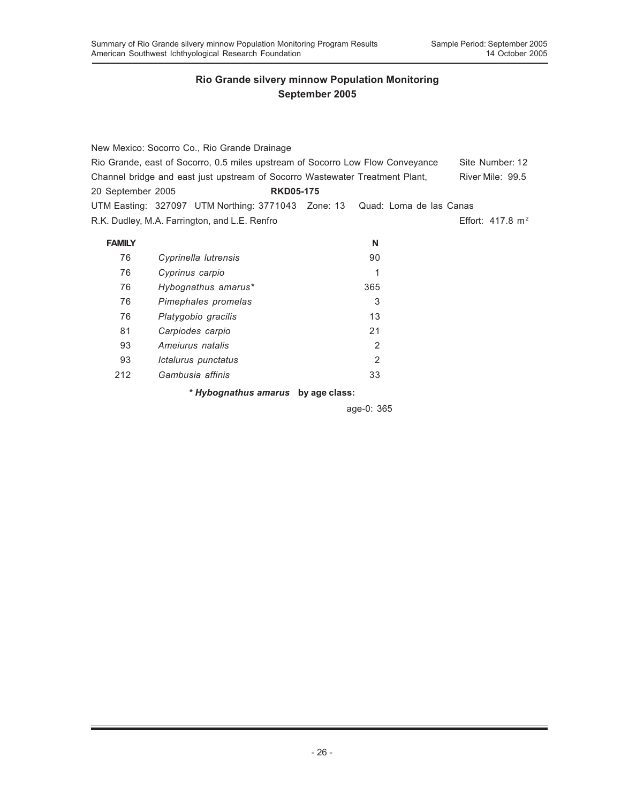|                   | New Mexico: Socorro Co., Rio Grande Drainage                                   |     |                             |
|-------------------|--------------------------------------------------------------------------------|-----|-----------------------------|
|                   | Rio Grande, east of Socorro, 0.5 miles upstream of Socorro Low Flow Conveyance |     | Site Number: 12             |
|                   | Channel bridge and east just upstream of Socorro Wastewater Treatment Plant,   |     | River Mile: 99.5            |
| 20 September 2005 | <b>RKD05-175</b>                                                               |     |                             |
|                   | UTM Easting: 327097 UTM Northing: 3771043 Zone: 13 Quad: Loma de las Canas     |     |                             |
|                   | R.K. Dudley, M.A. Farrington, and L.E. Renfro                                  |     | Effort: $417.8 \text{ m}^2$ |
| <b>FAMILY</b>     |                                                                                | N   |                             |
|                   |                                                                                |     |                             |
| 76                | Cyprinella lutrensis                                                           | 90  |                             |
| 76                | Cyprinus carpio                                                                | 1   |                             |
| 76                | Hybognathus amarus*                                                            | 365 |                             |
| 76                | Pimephales promelas                                                            | 3   |                             |
| 76                | Platygobio gracilis                                                            | 13  |                             |
| 81                | Carpiodes carpio                                                               | 21  |                             |
| 93                | Amejurus natalis                                                               | 2   |                             |
| 93                | Ictalurus punctatus                                                            | 2   |                             |
| 212               | Gambusia affinis                                                               | 33  |                             |

*\* Hybognathus amarus* **by age class:**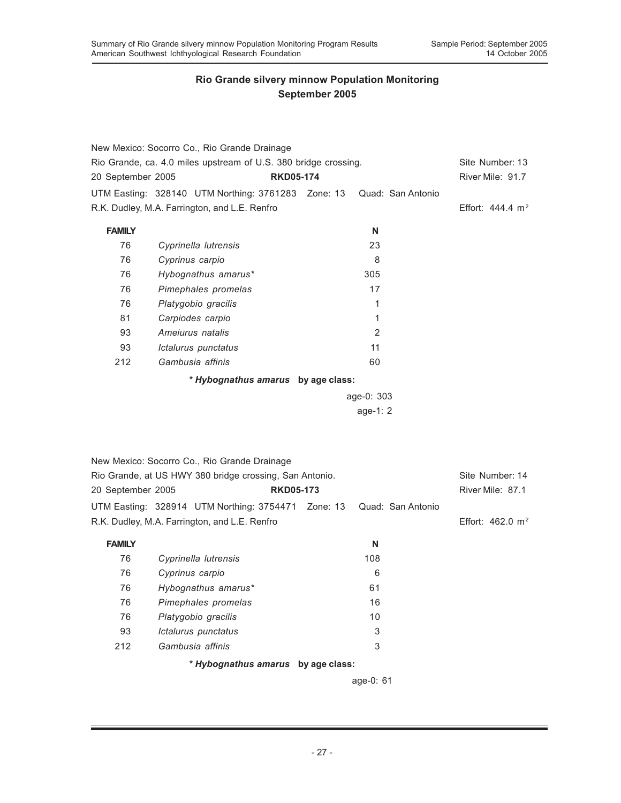|                                                                 |  | New Mexico: Socorro Co., Rio Grande Drainage            |                  |  |                 |                   |                              |
|-----------------------------------------------------------------|--|---------------------------------------------------------|------------------|--|-----------------|-------------------|------------------------------|
| Rio Grande, ca. 4.0 miles upstream of U.S. 380 bridge crossing. |  |                                                         |                  |  | Site Number: 13 |                   |                              |
| 20 September 2005                                               |  |                                                         | <b>RKD05-174</b> |  |                 | River Mile: 91.7  |                              |
|                                                                 |  | UTM Easting: 328140 UTM Northing: 3761283 Zone: 13      |                  |  |                 | Quad: San Antonio |                              |
|                                                                 |  | R.K. Dudley, M.A. Farrington, and L.E. Renfro           |                  |  |                 |                   | Effort: $444.4 \text{ m}^2$  |
| <b>FAMILY</b>                                                   |  |                                                         |                  |  | N               |                   |                              |
| 76                                                              |  | Cyprinella lutrensis                                    |                  |  | 23              |                   |                              |
| 76                                                              |  | Cyprinus carpio                                         |                  |  | 8               |                   |                              |
| 76                                                              |  | Hybognathus amarus*                                     |                  |  | 305             |                   |                              |
| 76                                                              |  | Pimephales promelas                                     |                  |  | 17              |                   |                              |
| 76                                                              |  | Platygobio gracilis                                     |                  |  | 1               |                   |                              |
| 81                                                              |  | Carpiodes carpio                                        |                  |  | 1               |                   |                              |
| 93                                                              |  | Ameiurus natalis                                        |                  |  | $\overline{2}$  |                   |                              |
| 93                                                              |  | Ictalurus punctatus                                     |                  |  | 11              |                   |                              |
| 212                                                             |  | Gambusia affinis                                        |                  |  | 60              |                   |                              |
|                                                                 |  | * Hybognathus amarus by age class:                      |                  |  |                 |                   |                              |
| age-0: 303                                                      |  |                                                         |                  |  |                 |                   |                              |
| age-1: 2                                                        |  |                                                         |                  |  |                 |                   |                              |
|                                                                 |  |                                                         |                  |  |                 |                   |                              |
|                                                                 |  |                                                         |                  |  |                 |                   |                              |
|                                                                 |  | New Mexico: Socorro Co., Rio Grande Drainage            |                  |  |                 |                   |                              |
|                                                                 |  | Rio Grande, at US HWY 380 bridge crossing, San Antonio. |                  |  |                 |                   | Site Number: 14              |
| 20 September 2005                                               |  |                                                         | <b>RKD05-173</b> |  |                 |                   | River Mile: 87.1             |
|                                                                 |  | UTM Easting: 328914 UTM Northing: 3754471 Zone: 13      |                  |  |                 | Quad: San Antonio |                              |
|                                                                 |  | R.K. Dudley, M.A. Farrington, and L.E. Renfro           |                  |  |                 |                   | Effort: 462.0 m <sup>2</sup> |
| <b>FAMILY</b>                                                   |  |                                                         |                  |  | N               |                   |                              |
| 76                                                              |  | Cyprinella lutrensis                                    |                  |  | 108             |                   |                              |
| 76                                                              |  | Cyprinus carpio                                         |                  |  | 6               |                   |                              |
| 76                                                              |  | Hybognathus amarus*                                     |                  |  | 61              |                   |                              |
| 76                                                              |  | Pimephales promelas                                     |                  |  | 16              |                   |                              |
| 76                                                              |  | Platygobio gracilis                                     |                  |  | 10              |                   |                              |
| 93                                                              |  | Ictalurus punctatus                                     |                  |  | 3               |                   |                              |
| 212                                                             |  | Gambusia affinis                                        |                  |  | 3               |                   |                              |
|                                                                 |  | * Hybognathus amarus by age class:                      |                  |  |                 |                   |                              |
|                                                                 |  |                                                         |                  |  | age-0: 61       |                   |                              |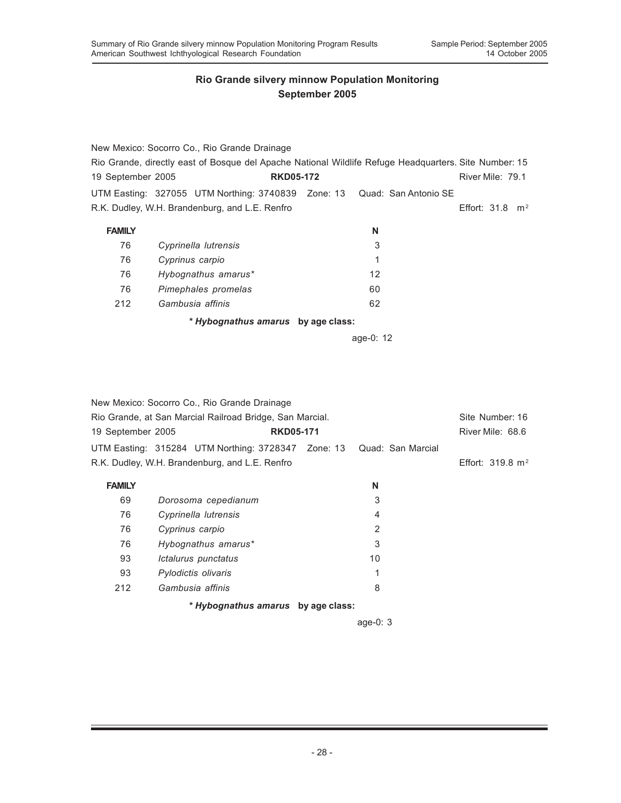|                   | New Mexico: Socorro Co., Rio Grande Drainage                                                          |                  |    |                            |  |
|-------------------|-------------------------------------------------------------------------------------------------------|------------------|----|----------------------------|--|
|                   | Rio Grande, directly east of Bosque del Apache National Wildlife Refuge Headquarters. Site Number: 15 |                  |    |                            |  |
| 19 September 2005 |                                                                                                       | <b>RKD05-172</b> |    | River Mile: 79.1           |  |
|                   | UTM Easting: 327055 UTM Northing: 3740839 Zone: 13 Quad: San Antonio SE                               |                  |    |                            |  |
|                   | R.K. Dudley, W.H. Brandenburg, and L.E. Renfro                                                        |                  |    | Effort: $31.8 \text{ m}^2$ |  |
| <b>FAMILY</b>     |                                                                                                       |                  | N  |                            |  |
| 76                | Cyprinella lutrensis                                                                                  |                  | 3  |                            |  |
| 76                | Cyprinus carpio                                                                                       |                  | 1  |                            |  |
| 76                | Hybognathus amarus*                                                                                   |                  | 12 |                            |  |
| 76                | Pimephales promelas                                                                                   |                  | 60 |                            |  |
| 212               | Gambusia affinis                                                                                      |                  | 62 |                            |  |
|                   | * Hybognathus amarus by age class:                                                                    |                  |    |                            |  |

age-0: 12

|                                                          | New Mexico: Socorro Co., Rio Grande Drainage                         |  |                  |                             |  |
|----------------------------------------------------------|----------------------------------------------------------------------|--|------------------|-----------------------------|--|
| Rio Grande, at San Marcial Railroad Bridge, San Marcial. | Site Number: 16                                                      |  |                  |                             |  |
| <b>RKD05-171</b><br>19 September 2005                    |                                                                      |  | River Mile: 68.6 |                             |  |
|                                                          | UTM Easting: 315284 UTM Northing: 3728347 Zone: 13 Quad: San Marcial |  |                  |                             |  |
|                                                          | R.K. Dudley, W.H. Brandenburg, and L.E. Renfro                       |  |                  | Effort: $319.8 \text{ m}^2$ |  |
| <b>FAMILY</b>                                            |                                                                      |  | N                |                             |  |
| 69                                                       | Dorosoma cepedianum                                                  |  | 3                |                             |  |
| 76                                                       | Cyprinella lutrensis                                                 |  | 4                |                             |  |
| 76                                                       | Cyprinus carpio                                                      |  | $\overline{2}$   |                             |  |
| 76                                                       | Hybognathus amarus*                                                  |  | 3                |                             |  |
| 93                                                       | Ictalurus punctatus                                                  |  | 10               |                             |  |
| 93                                                       | Pylodictis olivaris                                                  |  | 1                |                             |  |
| 212                                                      | Gambusia affinis                                                     |  | 8                |                             |  |
|                                                          | * Hybognathus amarus by age class:                                   |  |                  |                             |  |